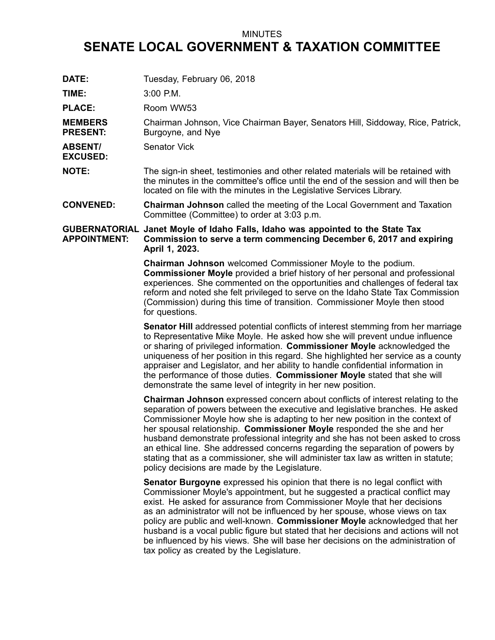## MINUTES

## **SENATE LOCAL GOVERNMENT & TAXATION COMMITTEE**

| DATE:                             | Tuesday, February 06, 2018                                                                                                                                                                                                                                                                                                                                                                                                                                                                                                                                                                                                                 |
|-----------------------------------|--------------------------------------------------------------------------------------------------------------------------------------------------------------------------------------------------------------------------------------------------------------------------------------------------------------------------------------------------------------------------------------------------------------------------------------------------------------------------------------------------------------------------------------------------------------------------------------------------------------------------------------------|
| TIME:                             | $3:00$ P.M.                                                                                                                                                                                                                                                                                                                                                                                                                                                                                                                                                                                                                                |
| <b>PLACE:</b>                     | Room WW53                                                                                                                                                                                                                                                                                                                                                                                                                                                                                                                                                                                                                                  |
| <b>MEMBERS</b><br><b>PRESENT:</b> | Chairman Johnson, Vice Chairman Bayer, Senators Hill, Siddoway, Rice, Patrick,<br>Burgoyne, and Nye                                                                                                                                                                                                                                                                                                                                                                                                                                                                                                                                        |
| <b>ABSENT/</b><br><b>EXCUSED:</b> | <b>Senator Vick</b>                                                                                                                                                                                                                                                                                                                                                                                                                                                                                                                                                                                                                        |
| <b>NOTE:</b>                      | The sign-in sheet, testimonies and other related materials will be retained with<br>the minutes in the committee's office until the end of the session and will then be<br>located on file with the minutes in the Legislative Services Library.                                                                                                                                                                                                                                                                                                                                                                                           |
| <b>CONVENED:</b>                  | <b>Chairman Johnson</b> called the meeting of the Local Government and Taxation<br>Committee (Committee) to order at 3:03 p.m.                                                                                                                                                                                                                                                                                                                                                                                                                                                                                                             |
| <b>APPOINTMENT:</b>               | GUBERNATORIAL Janet Moyle of Idaho Falls, Idaho was appointed to the State Tax<br>Commission to serve a term commencing December 6, 2017 and expiring<br>April 1, 2023.                                                                                                                                                                                                                                                                                                                                                                                                                                                                    |
|                                   | Chairman Johnson welcomed Commissioner Moyle to the podium.<br><b>Commissioner Moyle</b> provided a brief history of her personal and professional<br>experiences. She commented on the opportunities and challenges of federal tax<br>reform and noted she felt privileged to serve on the Idaho State Tax Commission<br>(Commission) during this time of transition. Commissioner Moyle then stood<br>for questions.                                                                                                                                                                                                                     |
|                                   | Senator Hill addressed potential conflicts of interest stemming from her marriage<br>to Representative Mike Moyle. He asked how she will prevent undue influence<br>or sharing of privileged information. Commissioner Moyle acknowledged the<br>uniqueness of her position in this regard. She highlighted her service as a county<br>appraiser and Legislator, and her ability to handle confidential information in<br>the performance of those duties. Commissioner Moyle stated that she will<br>demonstrate the same level of integrity in her new position.                                                                         |
|                                   | <b>Chairman Johnson</b> expressed concern about conflicts of interest relating to the<br>separation of powers between the executive and legislative branches. He asked<br>Commissioner Moyle how she is adapting to her new position in the context of<br>her spousal relationship. Commissioner Moyle responded the she and her<br>husband demonstrate professional integrity and she has not been asked to cross<br>an ethical line. She addressed concerns regarding the separation of powers by<br>stating that as a commissioner, she will administer tax law as written in statute;<br>policy decisions are made by the Legislature. |
|                                   | <b>Senator Burgoyne</b> expressed his opinion that there is no legal conflict with<br>Commissioner Moyle's appointment, but he suggested a practical conflict may<br>exist. He asked for assurance from Commissioner Moyle that her decisions<br>as an administrator will not be influenced by her spouse, whose views on tax<br>policy are public and well-known. Commissioner Moyle acknowledged that her<br>husband is a vocal public figure but stated that her decisions and actions will not<br>be influenced by his views. She will base her decisions on the administration of<br>tax policy as created by the Legislature.        |